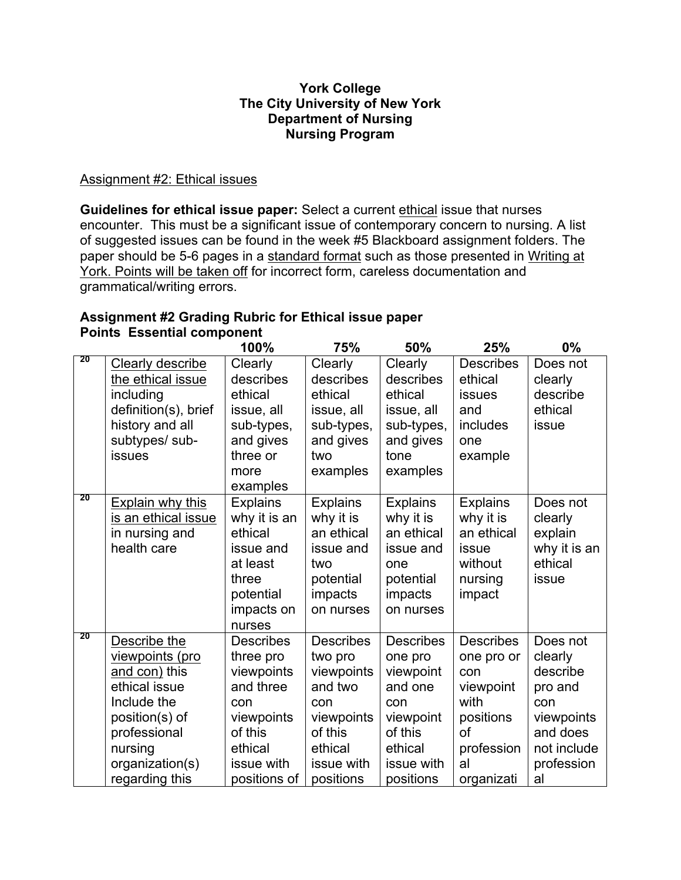## **The City University of New York Nursing Program York College Department of Nursing**

## Assignment #2: Ethical issues

**Guidelines for ethical issue paper:** Select a current ethical issue that nurses encounter. This must be a significant issue of contemporary concern to nursing. A list of suggested issues can be found in the week #5 Blackboard assignment folders. The paper should be 5-6 pages in a standard format such as those presented in Writing at York. Points will be taken off for incorrect form, careless documentation and grammatical/writing errors.

## **Assignment #2 Grading Rubric for Ethical issue paper Points Essential component**

|    |                      | 100%             | 75%              | 50%              | 25%              | $0\%$        |
|----|----------------------|------------------|------------------|------------------|------------------|--------------|
| 20 | Clearly describe     | Clearly          | Clearly          | Clearly          | <b>Describes</b> | Does not     |
|    | the ethical issue    | describes        | describes        | describes        | ethical          | clearly      |
|    | including            | ethical          | ethical          | ethical          | <b>issues</b>    | describe     |
|    | definition(s), brief | issue, all       | issue, all       | issue, all       | and              | ethical      |
|    | history and all      | sub-types,       | sub-types,       | sub-types,       | includes         | issue        |
|    | subtypes/ sub-       | and gives        | and gives        | and gives        | one              |              |
|    | issues               | three or         | two              | tone             | example          |              |
|    |                      | more             | examples         | examples         |                  |              |
|    |                      | examples         |                  |                  |                  |              |
| 20 | Explain why this     | <b>Explains</b>  | <b>Explains</b>  | <b>Explains</b>  | <b>Explains</b>  | Does not     |
|    | is an ethical issue  | why it is an     | why it is        | why it is        | why it is        | clearly      |
|    | in nursing and       | ethical          | an ethical       | an ethical       | an ethical       | explain      |
|    | health care          | issue and        | issue and        | issue and        | issue            | why it is an |
|    |                      | at least         | two              | one              | without          | ethical      |
|    |                      | three            | potential        | potential        | nursing          | issue        |
|    |                      | potential        | impacts          | impacts          | impact           |              |
|    |                      | impacts on       | on nurses        | on nurses        |                  |              |
| 20 |                      | nurses           |                  |                  |                  |              |
|    | Describe the         | <b>Describes</b> | <b>Describes</b> | <b>Describes</b> | <b>Describes</b> | Does not     |
|    | viewpoints (pro      | three pro        | two pro          | one pro          | one pro or       | clearly      |
|    | and con) this        | viewpoints       | viewpoints       | viewpoint        | con              | describe     |
|    | ethical issue        | and three        | and two          | and one          | viewpoint        | pro and      |
|    | Include the          | con              | con              | con              | with             | con          |
|    | position(s) of       | viewpoints       | viewpoints       | viewpoint        | positions        | viewpoints   |
|    | professional         | of this          | of this          | of this          | <sub>Of</sub>    | and does     |
|    | nursing              | ethical          | ethical          | ethical          | profession       | not include  |
|    | organization(s)      | issue with       | issue with       | issue with       | al               | profession   |
|    | regarding this       | positions of     | positions        | positions        | organizati       | al           |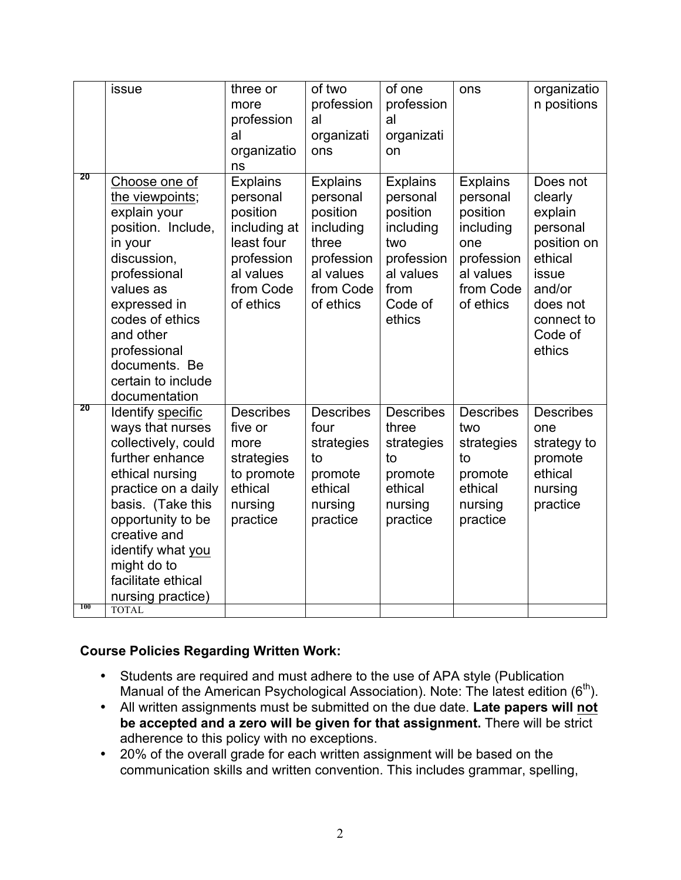|     | issue               | three or         | of two           | of one           | ons              | organizatio      |
|-----|---------------------|------------------|------------------|------------------|------------------|------------------|
|     |                     | more             | profession       | profession       |                  | n positions      |
|     |                     | profession       | al               | al               |                  |                  |
|     |                     | al               | organizati       | organizati       |                  |                  |
|     |                     | organizatio      | ons              | on               |                  |                  |
|     |                     | ns               |                  |                  |                  |                  |
| 20  | Choose one of       | <b>Explains</b>  | <b>Explains</b>  | <b>Explains</b>  | <b>Explains</b>  | Does not         |
|     | the viewpoints;     | personal         | personal         | personal         | personal         | clearly          |
|     | explain your        | position         | position         | position         | position         | explain          |
|     | position. Include,  | including at     | including        | including        | including        | personal         |
|     | in your             | least four       | three            | two              | one              | position on      |
|     | discussion,         | profession       | profession       | profession       | profession       | ethical          |
|     | professional        | al values        | al values        | al values        | al values        | issue            |
|     | values as           | from Code        | from Code        | from             | from Code        | and/or           |
|     | expressed in        | of ethics        | of ethics        | Code of          | of ethics        | does not         |
|     | codes of ethics     |                  |                  | ethics           |                  | connect to       |
|     | and other           |                  |                  |                  |                  | Code of          |
|     | professional        |                  |                  |                  |                  | ethics           |
|     | documents. Be       |                  |                  |                  |                  |                  |
|     | certain to include  |                  |                  |                  |                  |                  |
|     | documentation       |                  |                  |                  |                  |                  |
| 20  | Identify specific   | <b>Describes</b> | <b>Describes</b> | <b>Describes</b> | <b>Describes</b> | <b>Describes</b> |
|     | ways that nurses    | five or          | four             | three            | two              | one              |
|     | collectively, could | more             | strategies       | strategies       | strategies       | strategy to      |
|     | further enhance     | strategies       | to               | to               | to               | promote          |
|     | ethical nursing     | to promote       | promote          | promote          | promote          | ethical          |
|     | practice on a daily | ethical          | ethical          | ethical          | ethical          | nursing          |
|     | basis. (Take this   | nursing          | nursing          | nursing          | nursing          | practice         |
|     | opportunity to be   | practice         | practice         | practice         | practice         |                  |
|     | creative and        |                  |                  |                  |                  |                  |
|     | identify what you   |                  |                  |                  |                  |                  |
|     | might do to         |                  |                  |                  |                  |                  |
|     | facilitate ethical  |                  |                  |                  |                  |                  |
|     | nursing practice)   |                  |                  |                  |                  |                  |
| 100 | <b>TOTAL</b>        |                  |                  |                  |                  |                  |

## **Course Policies Regarding Written Work:**

- • Students are required and must adhere to the use of APA style (Publication Manual of the American Psychological Association). Note: The latest edition ( $6<sup>th</sup>$ ).
- • All written assignments must be submitted on the due date. **Late papers will not be accepted and a zero will be given for that assignment.** There will be strict adherence to this policy with no exceptions.
- • 20% of the overall grade for each written assignment will be based on the communication skills and written convention. This includes grammar, spelling,